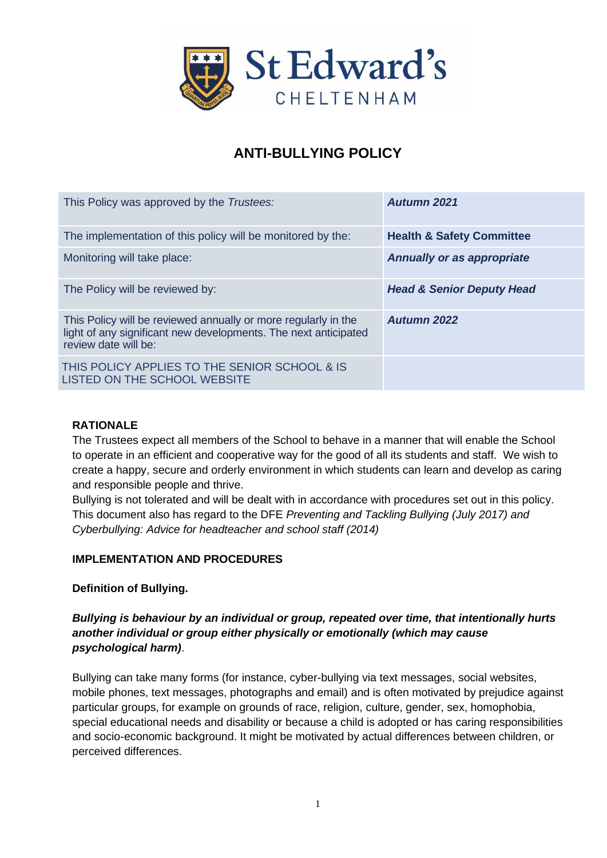

# **ANTI-BULLYING POLICY**

| This Policy was approved by the Trustees:                                                                                                                 | Autumn 2021                          |
|-----------------------------------------------------------------------------------------------------------------------------------------------------------|--------------------------------------|
| The implementation of this policy will be monitored by the:                                                                                               | <b>Health &amp; Safety Committee</b> |
| Monitoring will take place:                                                                                                                               | <b>Annually or as appropriate</b>    |
| The Policy will be reviewed by:                                                                                                                           | <b>Head &amp; Senior Deputy Head</b> |
| This Policy will be reviewed annually or more regularly in the<br>light of any significant new developments. The next anticipated<br>review date will be: | <b>Autumn 2022</b>                   |
| THIS POLICY APPLIES TO THE SENIOR SCHOOL & IS<br>LISTED ON THE SCHOOL WEBSITE                                                                             |                                      |

# **RATIONALE**

The Trustees expect all members of the School to behave in a manner that will enable the School to operate in an efficient and cooperative way for the good of all its students and staff. We wish to create a happy, secure and orderly environment in which students can learn and develop as caring and responsible people and thrive.

Bullying is not tolerated and will be dealt with in accordance with procedures set out in this policy. This document also has regard to the DFE *Preventing and Tackling Bullying (July 2017) and Cyberbullying: Advice for headteacher and school staff (2014)*

## **IMPLEMENTATION AND PROCEDURES**

**Definition of Bullying.**

## *Bullying is behaviour by an individual or group, repeated over time, that intentionally hurts another individual or group either physically or emotionally (which may cause psychological harm)*.

Bullying can take many forms (for instance, cyber-bullying via text messages, social websites, mobile phones, text messages, photographs and email) and is often motivated by prejudice against particular groups, for example on grounds of race, religion, culture, gender, sex, homophobia, special educational needs and disability or because a child is adopted or has caring responsibilities and socio-economic background. It might be motivated by actual differences between children, or perceived differences.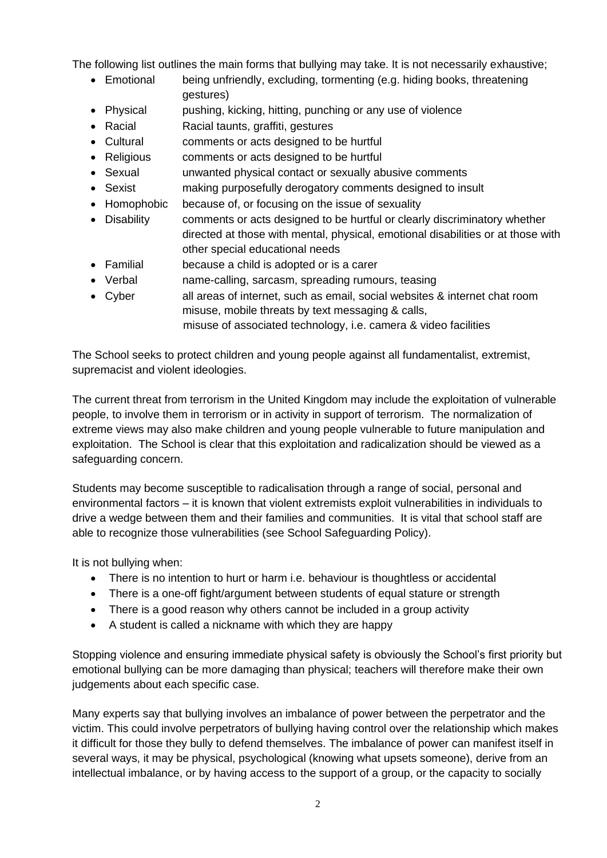The following list outlines the main forms that bullying may take. It is not necessarily exhaustive;

- Emotional being unfriendly, excluding, tormenting (e.g. hiding books, threatening gestures)
- Physical pushing, kicking, hitting, punching or any use of violence
- Racial Racial taunts, graffiti, gestures
- Cultural comments or acts designed to be hurtful
- Religious comments or acts designed to be hurtful
- Sexual unwanted physical contact or sexually abusive comments
- Sexist making purposefully derogatory comments designed to insult
- Homophobic because of, or focusing on the issue of sexuality
- Disability comments or acts designed to be hurtful or clearly discriminatory whether directed at those with mental, physical, emotional disabilities or at those with other special educational needs
- Familial because a child is adopted or is a carer
- Verbal name-calling, sarcasm, spreading rumours, teasing
- Cyber all areas of internet, such as email, social websites & internet chat room misuse, mobile threats by text messaging & calls, misuse of associated technology, i.e. camera & video facilities

The School seeks to protect children and young people against all fundamentalist, extremist, supremacist and violent ideologies.

The current threat from terrorism in the United Kingdom may include the exploitation of vulnerable people, to involve them in terrorism or in activity in support of terrorism. The normalization of extreme views may also make children and young people vulnerable to future manipulation and exploitation. The School is clear that this exploitation and radicalization should be viewed as a safeguarding concern.

Students may become susceptible to radicalisation through a range of social, personal and environmental factors – it is known that violent extremists exploit vulnerabilities in individuals to drive a wedge between them and their families and communities. It is vital that school staff are able to recognize those vulnerabilities (see School Safeguarding Policy).

It is not bullying when:

- There is no intention to hurt or harm i.e. behaviour is thoughtless or accidental
- There is a one-off fight/argument between students of equal stature or strength
- There is a good reason why others cannot be included in a group activity
- A student is called a nickname with which they are happy

Stopping violence and ensuring immediate physical safety is obviously the School's first priority but emotional bullying can be more damaging than physical; teachers will therefore make their own judgements about each specific case.

Many experts say that bullying involves an imbalance of power between the perpetrator and the victim. This could involve perpetrators of bullying having control over the relationship which makes it difficult for those they bully to defend themselves. The imbalance of power can manifest itself in several ways, it may be physical, psychological (knowing what upsets someone), derive from an intellectual imbalance, or by having access to the support of a group, or the capacity to socially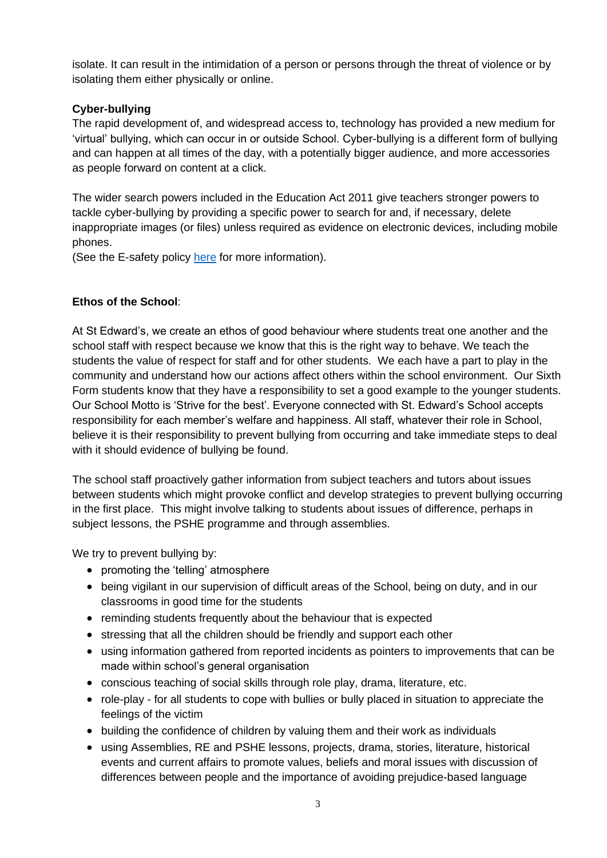isolate. It can result in the intimidation of a person or persons through the threat of violence or by isolating them either physically or online.

## **Cyber-bullying**

The rapid development of, and widespread access to, technology has provided a new medium for 'virtual' bullying, which can occur in or outside School. Cyber-bullying is a different form of bullying and can happen at all times of the day, with a potentially bigger audience, and more accessories as people forward on content at a click.

The wider search powers included in the Education Act 2011 give teachers stronger powers to tackle cyber-bullying by providing a specific power to search for and, if necessary, delete inappropriate images (or files) unless required as evidence on electronic devices, including mobile phones.

(See the E-safety policy [here](https://stedwardsschool.sharepoint.com/:w:/s/policies/ES_c0zW8O-5MqzLbwkKfii4BCJBdnIwdTw6NN2mn8N1DEg?e=6ts7CV) for more information).

## **Ethos of the School**:

At St Edward's, we create an ethos of good behaviour where students treat one another and the school staff with respect because we know that this is the right way to behave. We teach the students the value of respect for staff and for other students. We each have a part to play in the community and understand how our actions affect others within the school environment. Our Sixth Form students know that they have a responsibility to set a good example to the younger students. Our School Motto is 'Strive for the best'. Everyone connected with St. Edward's School accepts responsibility for each member's welfare and happiness. All staff, whatever their role in School, believe it is their responsibility to prevent bullying from occurring and take immediate steps to deal with it should evidence of bullying be found.

The school staff proactively gather information from subject teachers and tutors about issues between students which might provoke conflict and develop strategies to prevent bullying occurring in the first place. This might involve talking to students about issues of difference, perhaps in subject lessons, the PSHE programme and through assemblies.

We try to prevent bullying by:

- promoting the 'telling' atmosphere
- being vigilant in our supervision of difficult areas of the School, being on duty, and in our classrooms in good time for the students
- reminding students frequently about the behaviour that is expected
- stressing that all the children should be friendly and support each other
- using information gathered from reported incidents as pointers to improvements that can be made within school's general organisation
- conscious teaching of social skills through role play, drama, literature, etc.
- role-play for all students to cope with bullies or bully placed in situation to appreciate the feelings of the victim
- building the confidence of children by valuing them and their work as individuals
- using Assemblies, RE and PSHE lessons, projects, drama, stories, literature, historical events and current affairs to promote values, beliefs and moral issues with discussion of differences between people and the importance of avoiding prejudice-based language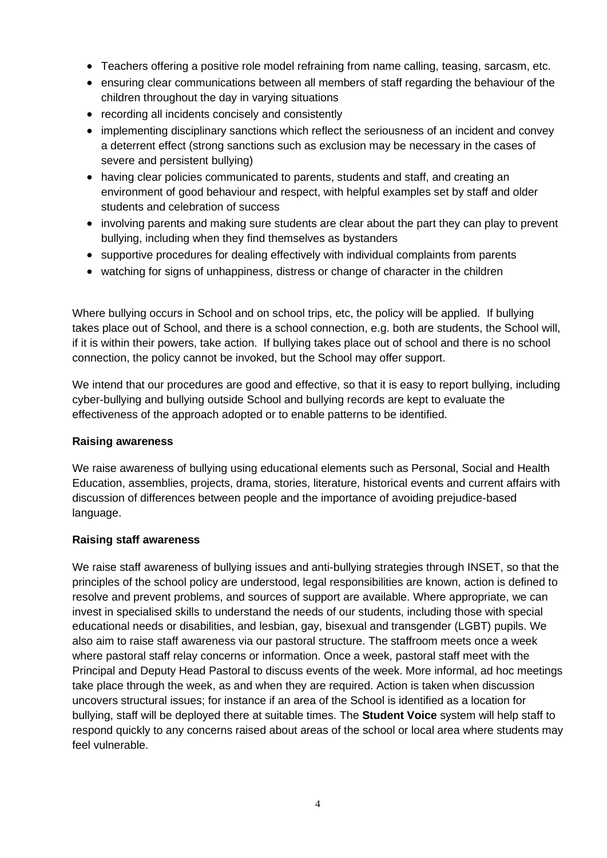- Teachers offering a positive role model refraining from name calling, teasing, sarcasm, etc.
- ensuring clear communications between all members of staff regarding the behaviour of the children throughout the day in varying situations
- recording all incidents concisely and consistently
- implementing disciplinary sanctions which reflect the seriousness of an incident and convey a deterrent effect (strong sanctions such as exclusion may be necessary in the cases of severe and persistent bullying)
- having clear policies communicated to parents, students and staff, and creating an environment of good behaviour and respect, with helpful examples set by staff and older students and celebration of success
- involving parents and making sure students are clear about the part they can play to prevent bullying, including when they find themselves as bystanders
- supportive procedures for dealing effectively with individual complaints from parents
- watching for signs of unhappiness, distress or change of character in the children

Where bullying occurs in School and on school trips, etc, the policy will be applied. If bullying takes place out of School, and there is a school connection, e.g. both are students, the School will, if it is within their powers, take action. If bullying takes place out of school and there is no school connection, the policy cannot be invoked, but the School may offer support.

We intend that our procedures are good and effective, so that it is easy to report bullying, including cyber-bullying and bullying outside School and bullying records are kept to evaluate the effectiveness of the approach adopted or to enable patterns to be identified.

#### **Raising awareness**

We raise awareness of bullying using educational elements such as Personal, Social and Health Education, assemblies, projects, drama, stories, literature, historical events and current affairs with discussion of differences between people and the importance of avoiding prejudice-based language.

#### **Raising staff awareness**

We raise staff awareness of bullying issues and anti-bullying strategies through INSET, so that the principles of the school policy are understood, legal responsibilities are known, action is defined to resolve and prevent problems, and sources of support are available. Where appropriate, we can invest in specialised skills to understand the needs of our students, including those with special educational needs or disabilities, and lesbian, gay, bisexual and transgender (LGBT) pupils. We also aim to raise staff awareness via our pastoral structure. The staffroom meets once a week where pastoral staff relay concerns or information. Once a week, pastoral staff meet with the Principal and Deputy Head Pastoral to discuss events of the week. More informal, ad hoc meetings take place through the week, as and when they are required. Action is taken when discussion uncovers structural issues; for instance if an area of the School is identified as a location for bullying, staff will be deployed there at suitable times. The **Student Voice** system will help staff to respond quickly to any concerns raised about areas of the school or local area where students may feel vulnerable.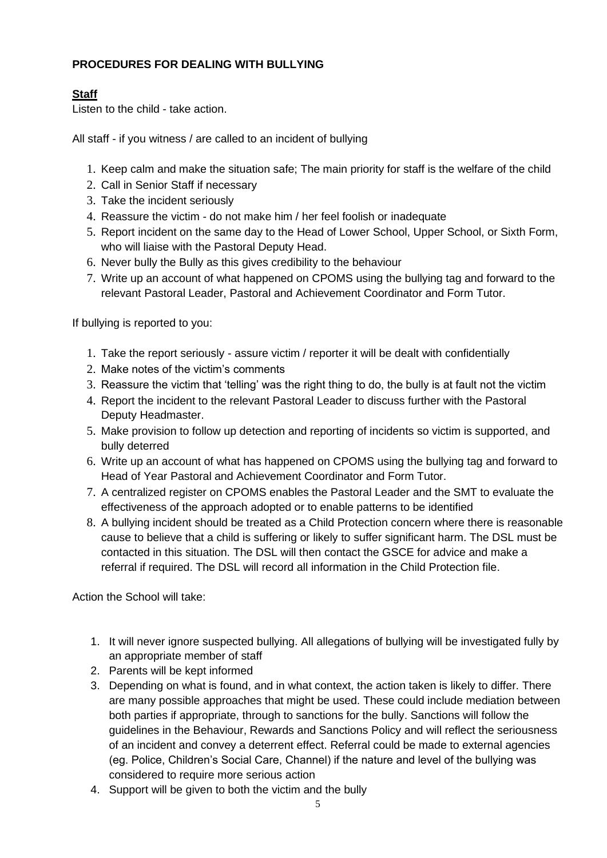# **PROCEDURES FOR DEALING WITH BULLYING**

## **Staff**

Listen to the child - take action.

All staff - if you witness / are called to an incident of bullying

- 1. Keep calm and make the situation safe; The main priority for staff is the welfare of the child
- 2. Call in Senior Staff if necessary
- 3. Take the incident seriously
- 4. Reassure the victim do not make him / her feel foolish or inadequate
- 5. Report incident on the same day to the Head of Lower School, Upper School, or Sixth Form, who will liaise with the Pastoral Deputy Head.
- 6. Never bully the Bully as this gives credibility to the behaviour
- 7. Write up an account of what happened on CPOMS using the bullying tag and forward to the relevant Pastoral Leader, Pastoral and Achievement Coordinator and Form Tutor.

If bullying is reported to you:

- 1. Take the report seriously assure victim / reporter it will be dealt with confidentially
- 2. Make notes of the victim's comments
- 3. Reassure the victim that 'telling' was the right thing to do, the bully is at fault not the victim
- 4. Report the incident to the relevant Pastoral Leader to discuss further with the Pastoral Deputy Headmaster.
- 5. Make provision to follow up detection and reporting of incidents so victim is supported, and bully deterred
- 6. Write up an account of what has happened on CPOMS using the bullying tag and forward to Head of Year Pastoral and Achievement Coordinator and Form Tutor.
- 7. A centralized register on CPOMS enables the Pastoral Leader and the SMT to evaluate the effectiveness of the approach adopted or to enable patterns to be identified
- 8. A bullying incident should be treated as a Child Protection concern where there is reasonable cause to believe that a child is suffering or likely to suffer significant harm. The DSL must be contacted in this situation. The DSL will then contact the GSCE for advice and make a referral if required. The DSL will record all information in the Child Protection file.

Action the School will take:

- 1. It will never ignore suspected bullying. All allegations of bullying will be investigated fully by an appropriate member of staff
- 2. Parents will be kept informed
- 3. Depending on what is found, and in what context, the action taken is likely to differ. There are many possible approaches that might be used. These could include mediation between both parties if appropriate, through to sanctions for the bully. Sanctions will follow the guidelines in the Behaviour, Rewards and Sanctions Policy and will reflect the seriousness of an incident and convey a deterrent effect. Referral could be made to external agencies (eg. Police, Children's Social Care, Channel) if the nature and level of the bullying was considered to require more serious action
- 4. Support will be given to both the victim and the bully